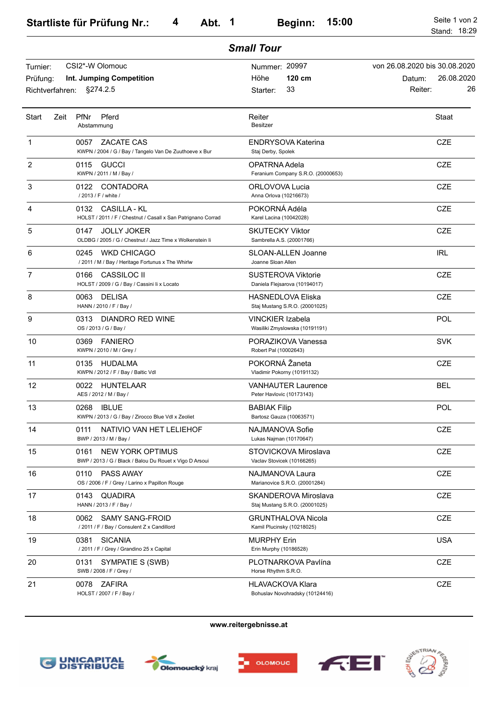|                      |                                                                                            | <b>Small Tour</b>                                          |                                                       |
|----------------------|--------------------------------------------------------------------------------------------|------------------------------------------------------------|-------------------------------------------------------|
| Turnier:<br>Prüfung: | CSI2*-W Olomouc<br>Int. Jumping Competition                                                | Nummer: 20997<br>$120 \text{ cm}$<br>Höhe                  | von 26.08.2020 bis 30.08.2020<br>26.08.2020<br>Datum: |
| Richtverfahren:      | §274.2.5                                                                                   | 33<br>Starter:                                             | 26<br>Reiter:                                         |
| Start<br>Zeit        | PfNr<br>Pferd<br>Abstammung                                                                | Reiter<br><b>Besitzer</b>                                  | Staat                                                 |
| 1                    | ZACATE CAS<br>0057<br>KWPN / 2004 / G / Bay / Tangelo Van De Zuuthoeve x Bur               | <b>ENDRYSOVA Katerina</b><br>Staj Derby, Spolek            | <b>CZE</b>                                            |
| 2                    | 0115<br><b>GUCCI</b><br>KWPN / 2011 / M / Bay /                                            | OPATRNA Adela<br>Feranium Company S.R.O. (20000653)        | <b>CZE</b>                                            |
| 3                    | CONTADORA<br>0122<br>/ 2013 / F / white /                                                  | ORLOVOVA Lucia<br>Anna Orlova (10216673)                   | <b>CZE</b>                                            |
| 4                    | 0132<br>CASILLA - KL<br>HOLST / 2011 / F / Chestnut / Casall x San Patrignano Corrad       | POKORNÁ Adéla<br>Karel Lacina (10042028)                   | <b>CZE</b>                                            |
| 5                    | 0147<br><b>JOLLY JOKER</b><br>OLDBG / 2005 / G / Chestnut / Jazz Time x Wolkenstein li     | <b>SKUTECKY Viktor</b><br>Sambrella A.S. (20001766)        | <b>CZE</b>                                            |
| 6                    | 0245<br><b>WKD CHICAGO</b><br>/ 2011 / M / Bay / Heritage Fortunus x The Whirlw            | SLOAN-ALLEN Joanne<br>Joanne Sloan Allen                   | <b>IRL</b>                                            |
| 7                    | 0166<br>CASSILOC II<br>HOLST / 2009 / G / Bay / Cassini li x Locato                        | <b>SUSTEROVA Viktorie</b><br>Daniela Flejsarova (10194017) | <b>CZE</b>                                            |
| 8                    | 0063<br><b>DELISA</b><br>HANN / 2010 / F / Bay /                                           | <b>HASNEDLOVA Eliska</b><br>Staj Mustang S.R.O. (20001025) | <b>CZE</b>                                            |
| 9                    | 0313<br>DIANDRO RED WINE<br>OS / 2013 / G / Bay /                                          | <b>VINCKIER Izabela</b><br>Wasiliki Zmyslowska (10191191)  | POL                                                   |
| 10                   | 0369<br><b>FANIERO</b><br>KWPN / 2010 / M / Grey /                                         | PORAZIKOVA Vanessa<br>Robert Pal (10002643)                | <b>SVK</b>                                            |
| 11                   | 0135 HUDALMA<br>KWPN / 2012 / F / Bay / Baltic Vdl                                         | POKORNÁ Žaneta<br>Vladimir Pokorny (10191132)              | <b>CZE</b>                                            |
| 12                   | HUNTELAAR<br>0022<br>AES / 2012 / M / Bay /                                                | <b>VANHAUTER Laurence</b><br>Peter Havlovic (10173143)     | <b>BEL</b>                                            |
| 13                   | 0268<br><b>IBLUE</b><br>KWPN / 2013 / G / Bay / Zirocco Blue Vdl x Zeoliet                 | <b>BABIAK Filip</b><br>Bartosz Gauza (10063571)            | POL                                                   |
| 14                   | 0111<br>NATIVIO VAN HET LELIEHOF<br>BWP / 2013 / M / Bay /                                 | NAJMANOVA Sofie<br>Lukas Najman (10170647)                 | CZE                                                   |
| 15                   | 0161<br><b>NEW YORK OPTIMUS</b><br>BWP / 2013 / G / Black / Balou Du Rouet x Vigo D Arsoui | STOVICKOVA Miroslava<br>Vaclav Stovicek (10166265)         | <b>CZE</b>                                            |
| 16                   | PASS AWAY<br>0110<br>OS / 2006 / F / Grey / Larino x Papillon Rouge                        | NAJMANOVA Laura<br>Marianovice S.R.O. (20001284)           | <b>CZE</b>                                            |
| 17                   | 0143<br>QUADIRA<br>HANN / 2013 / F / Bay /                                                 | SKANDEROVA Miroslava<br>Staj Mustang S.R.O. (20001025)     | CZE                                                   |
| 18                   | 0062<br><b>SAMY SANG-FROID</b><br>/ 2011 / F / Bay / Consulent Z x Candillord              | <b>GRUNTHALOVA Nicola</b><br>Kamil Plucinsky (10218025)    | CZE                                                   |
| 19                   | 0381<br><b>SICANIA</b><br>/ 2011 / F / Grey / Grandino 25 x Capital                        | <b>MURPHY Erin</b><br>Erin Murphy (10186528)               | <b>USA</b>                                            |
| 20                   | 0131<br>SYMPATIE S (SWB)<br>SWB / 2008 / F / Grey /                                        | PLOTNARKOVA Pavlína<br>Horse Rhythm S.R.O.                 | CZE                                                   |
| 21                   | ZAFIRA<br>0078<br>HOLST / 2007 / F / Bay /                                                 | HLAVACKOVA Klara<br>Bohuslav Novohradsky (10124416)        | CZE                                                   |

**www.reitergebnisse.at**